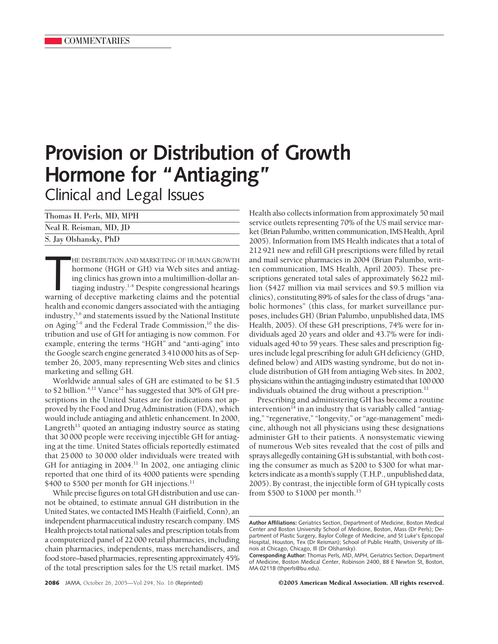# **Provision or Distribution of Growth Hormone for "Antiaging"** Clinical and Legal Issues

| Thomas H. Perls, MD, MPH |  |
|--------------------------|--|
| Neal R. Reisman, MD, JD  |  |
| S. Jay Olshansky, PhD    |  |

HE DISTRIBUTION AND MARKETING OF HUMAN GROWTH<br>hormone (HGH or GH) via Web sites and antiag-<br>ing clinics has grown into a multimillion-dollar an-<br>tiaging industry.<sup>1.4</sup> Despite congressional hearings<br>warning of deceptive ma HE DISTRIBUTION AND MARKETING OF HUMAN GROWTH hormone (HGH or GH) via Web sites and antiaging clinics has grown into a multimillion-dollar antiaging industry.1-4 Despite congressional hearings health and economic dangers associated with the antiaging industry,5,6 and statements issued by the National Institute on Aging<sup>7-9</sup> and the Federal Trade Commission,<sup>10</sup> the distribution and use of GH for antiaging is now common. For example, entering the terms "HGH" and "anti-aging" into the Google search engine generated 3 410 000 hits as of September 26, 2005, many representing Web sites and clinics marketing and selling GH.

Worldwide annual sales of GH are estimated to be \$1.5 to \$2 billion.<sup>4,11</sup> Vance<sup>12</sup> has suggested that  $30\%$  of GH prescriptions in the United States are for indications not approved by the Food and Drug Administration (FDA), which would include antiaging and athletic enhancement. In 2000, Langreth $^{13}$  quoted an antiaging industry source as stating that 30 000 people were receiving injectible GH for antiaging at the time. United States officials reportedly estimated that 25 000 to 30 000 older individuals were treated with GH for antiaging in 2004.<sup>11</sup> In 2002, one antiaging clinic reported that one third of its 4000 patients were spending \$400 to \$500 per month for GH injections.<sup>11</sup>

While precise figures on total GH distribution and use cannot be obtained, to estimate annual GH distribution in the United States, we contacted IMS Health (Fairfield, Conn), an independent pharmaceutical industry research company. IMS Health projects total national sales and prescription totals from a computerized panel of 22 000 retail pharmacies, including chain pharmacies, independents, mass merchandisers, and food store–based pharmacies, representing approximately 45% of the total prescription sales for the US retail market. IMS

Health also collects information from approximately 50 mail service outlets representing 70% of the US mail service market (Brian Palumbo, written communication, IMS Health, April 2005). Information from IMS Health indicates that a total of 212 921 new and refill GH prescriptions were filled by retail and mail service pharmacies in 2004 (Brian Palumbo, written communication, IMS Health, April 2005). These prescriptions generated total sales of approximately \$622 million (\$427 million via mail services and \$9.5 million via clinics), constituting 89% of sales for the class of drugs "anabolic hormones" (this class, for market surveillance purposes, includes GH) (Brian Palumbo, unpublished data, IMS Health, 2005). Of these GH prescriptions, 74% were for individuals aged 20 years and older and 43.7% were for individuals aged 40 to 59 years. These sales and prescription figures include legal prescribing for adult GH deficiency (GHD, defined below) and AIDS wasting syndrome, but do not include distribution of GH from antiaging Web sites. In 2002, physicians within the antiaging industry estimated that 100 000 individuals obtained the drug without a prescription. $<sup>11</sup>$ </sup>

Prescribing and administering GH has become a routine  $intervention<sup>14</sup>$  in an industry that is variably called "antiaging," "regenerative," "longevity," or "age-management" medicine, although not all physicians using these designations administer GH to their patients. A nonsystematic viewing of numerous Web sites revealed that the cost of pills and sprays allegedly containing GH is substantial, with both costing the consumer as much as \$200 to \$300 for what marketers indicate as a month's supply (T.H.P., unpublished data, 2005). By contrast, the injectible form of GH typically costs from \$500 to \$1000 per month.13

**2086** JAMA, October 26, 2005—Vol 294, No. 16 (Reprinted) ©2005 American Medical Association. All rights reserved.

**Author Affiliations:** Geriatrics Section, Department of Medicine, Boston Medical Center and Boston University School of Medicine, Boston, Mass (Dr Perls); Department of Plastic Surgery, Baylor College of Medicine, and St Luke's Episcopal Hospital, Houston, Tex (Dr Reisman); School of Public Health, University of Illinois at Chicago, Chicago, Ill (Dr Olshansky).

**Corresponding Author:** Thomas Perls, MD, MPH, Geriatrics Section, Department of Medicine, Boston Medical Center, Robinson 2400, 88 E Newton St, Boston, MA 02118 (thperls@bu.edu).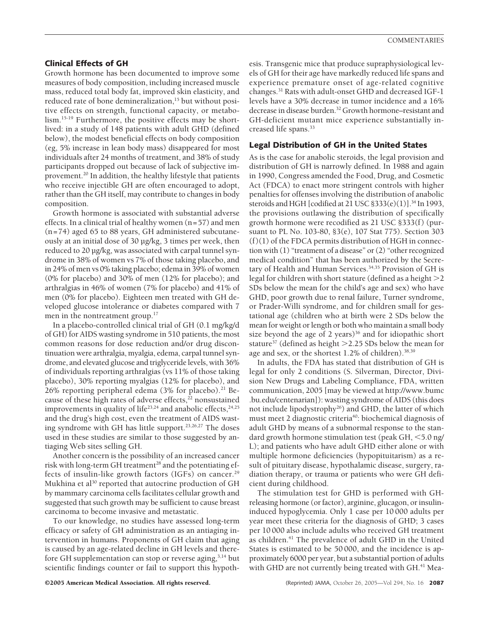## **Clinical Effects of GH**

Growth hormone has been documented to improve some measures of body composition, including increased muscle mass, reduced total body fat, improved skin elasticity, and reduced rate of bone demineralization,<sup>15</sup> but without positive effects on strength, functional capacity, or metabolism.15-19 Furthermore, the positive effects may be shortlived: in a study of 148 patients with adult GHD (defined below), the modest beneficial effects on body composition (eg, 5% increase in lean body mass) disappeared for most individuals after 24 months of treatment, and 38% of study participants dropped out because of lack of subjective improvement.20 In addition, the healthy lifestyle that patients who receive injectible GH are often encouraged to adopt, rather than the GH itself, may contribute to changes in body composition.

Growth hormone is associated with substantial adverse effects. In a clinical trial of healthy women (n=57) and men (n=74) aged 65 to 88 years, GH administered subcutaneously at an initial dose of 30 µg/kg, 3 times per week, then reduced to 20 µg/kg, was associated with carpal tunnel syndrome in 38% of women vs 7% of those taking placebo, and in 24% of men vs 0% taking placebo; edema in 39% of women (0% for placebo) and 30% of men (12% for placebo); and arthralgias in 46% of women (7% for placebo) and 41% of men (0% for placebo). Eighteen men treated with GH developed glucose intolerance or diabetes compared with 7 men in the nontreatment group.<sup>17</sup>

In a placebo-controlled clinical trial of GH (0.1 mg/kg/d of GH) for AIDS wasting syndrome in 510 patients, the most common reasons for dose reduction and/or drug discontinuation were arthralgia, myalgia, edema, carpal tunnel syndrome, and elevated glucose and triglyceride levels, with 36% of individuals reporting arthralgias (vs 11% of those taking placebo), 30% reporting myalgias (12% for placebo), and  $26\%$  reporting peripheral edema (3% for placebo).<sup>21</sup> Because of these high rates of adverse effects,<sup>22</sup> nonsustained improvements in quality of life<sup>23,24</sup> and anabolic effects,  $24,25$ and the drug's high cost, even the treatment of AIDS wasting syndrome with GH has little support.<sup>23,26,27</sup> The doses used in these studies are similar to those suggested by antiaging Web sites selling GH.

Another concern is the possibility of an increased cancer risk with long-term GH treatment<sup>28</sup> and the potentiating effects of insulin-like growth factors (IGFs) on cancer.<sup>29</sup> Mukhina et al<sup>30</sup> reported that autocrine production of GH by mammary carcinoma cells facilitates cellular growth and suggested that such growth may be sufficient to cause breast carcinoma to become invasive and metastatic.

To our knowledge, no studies have assessed long-term efficacy or safety of GH administration as an antiaging intervention in humans. Proponents of GH claim that aging is caused by an age-related decline in GH levels and therefore GH supplementation can stop or reverse aging,<sup>3,14</sup> but scientific findings counter or fail to support this hypothesis. Transgenic mice that produce supraphysiological levels of GH for their age have markedly reduced life spans and experience premature onset of age-related cognitive changes.31 Rats with adult-onset GHD and decreased IGF-1 levels have a 30% decrease in tumor incidence and a 16% decrease in disease burden.32 Growth hormone–resistant and GH-deficient mutant mice experience substantially increased life spans.33

## **Legal Distribution of GH in the United States**

As is the case for anabolic steroids, the legal provision and distribution of GH is narrowly defined. In 1988 and again in 1990, Congress amended the Food, Drug, and Cosmetic Act (FDCA) to enact more stringent controls with higher penalties for offenses involving the distribution of anabolic steroids and HGH [codified at 21 USC  $\S 333(e)(1)$ ].<sup>34</sup> In 1993, the provisions outlawing the distribution of specifically growth hormone were recodified as 21 USC §333(f) (pursuant to PL No. 103-80, §3(e), 107 Stat 775). Section 303  $(f)(1)$  of the FDCA permits distribution of HGH in connection with (1) "treatment of a disease" or (2) "other recognized medical condition" that has been authorized by the Secretary of Health and Human Services.<sup>34,35</sup> Provision of GH is legal for children with short stature (defined as a height  $>2$ SDs below the mean for the child's age and sex) who have GHD, poor growth due to renal failure, Turner syndrome, or Prader-Willi syndrome, and for children small for gestational age (children who at birth were 2 SDs below the mean for weight or length or both who maintain a small body size beyond the age of 2 years)<sup>36</sup> and for idiopathic short stature<sup>37</sup> (defined as height  $>$  2.25 SDs below the mean for age and sex, or the shortest 1.2% of children).<sup>38,39</sup>

In adults, the FDA has stated that distribution of GH is legal for only 2 conditions (S. Silverman, Director, Division New Drugs and Labeling Compliance, FDA, written communication, 2005 [may be viewed at http://www.bumc .bu.edu/centenarian]): wasting syndrome of AIDS (this does not include lipodystrophy<sup>26</sup>) and GHD, the latter of which must meet 2 diagnostic criteria<sup>40</sup>: biochemical diagnosis of adult GHD by means of a subnormal response to the standard growth hormone stimulation test (peak GH, <5.0 ng/ L); and patients who have adult GHD either alone or with multiple hormone deficiencies (hypopituitarism) as a result of pituitary disease, hypothalamic disease, surgery, radiation therapy, or trauma or patients who were GH deficient during childhood.

The stimulation test for GHD is performed with GHreleasing hormone (or factor), arginine, glucagon, or insulininduced hypoglycemia. Only 1 case per 10 000 adults per year meet these criteria for the diagnosis of GHD; 3 cases per 10 000 also include adults who received GH treatment as children.<sup>41</sup> The prevalence of adult GHD in the United States is estimated to be 50 000, and the incidence is approximately 6000 per year, but a substantial portion of adults with GHD are not currently being treated with GH.<sup>41</sup> Mea-

©2005 American Medical Association. All rights reserved. (Reprinted) JAMA, October 26, 2005—Vol 294, No. 16 **2087**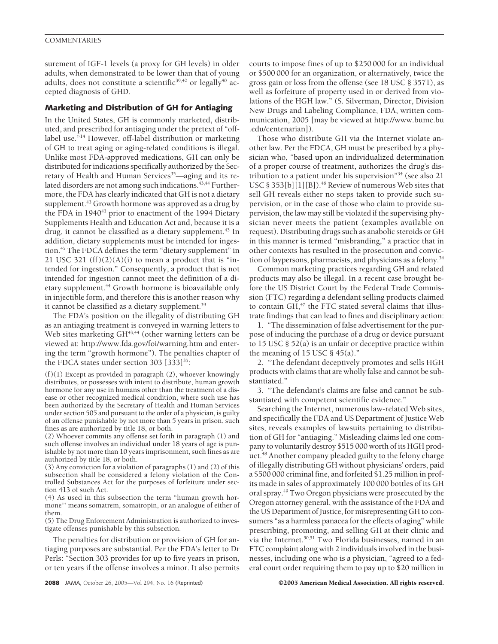### COMMENTARIES

surement of IGF-1 levels (a proxy for GH levels) in older adults, when demonstrated to be lower than that of young adults, does not constitute a scientific<sup>39,42</sup> or legally<sup>40</sup> accepted diagnosis of GHD.

# **Marketing and Distribution of GH for Antiaging**

In the United States, GH is commonly marketed, distributed, and prescribed for antiaging under the pretext of "offlabel use.<sup>"14</sup> However, off-label distribution or marketing of GH to treat aging or aging-related conditions is illegal. Unlike most FDA-approved medications, GH can only be distributed for indications specifically authorized by the Secretary of Health and Human Services<sup>35</sup>—aging and its related disorders are not among such indications.<sup>43,44</sup> Furthermore, the FDA has clearly indicated that GH is not a dietary supplement.<sup>43</sup> Growth hormone was approved as a drug by the FDA in 1940<sup>43</sup> prior to enactment of the 1994 Dietary Supplements Health and Education Act and, because it is a drug, it cannot be classified as a dietary supplement.<sup>43</sup> In addition, dietary supplements must be intended for ingestion.45 The FDCA defines the term "dietary supplement" in 21 USC 321  $(ff)(2)(A)(i)$  to mean a product that is "intended for ingestion." Consequently, a product that is not intended for ingestion cannot meet the definition of a dietary supplement.<sup>44</sup> Growth hormone is bioavailable only in injectible form, and therefore this is another reason why it cannot be classified as a dietary supplement.<sup>39</sup>

The FDA's position on the illegality of distributing GH as an antiaging treatment is conveyed in warning letters to Web sites marketing GH<sup>43,44</sup> (other warning letters can be viewed at: http://www.fda.gov/foi/warning.htm and entering the term "growth hormone"). The penalties chapter of the FDCA states under section 303  $[333]^{35}$ :

 $(f)(1)$  Except as provided in paragraph  $(2)$ , whoever knowingly distributes, or possesses with intent to distribute, human growth hormone for any use in humans other than the treatment of a disease or other recognized medical condition, where such use has been authorized by the Secretary of Health and Human Services under section 505 and pursuant to the order of a physician, is guilty of an offense punishable by not more than 5 years in prison, such fines as are authorized by title 18, or both.

(2) Whoever commits any offense set forth in paragraph (1) and such offense involves an individual under 18 years of age is punishable by not more than 10 years imprisonment, such fines as are authorized by title 18, or both.

(3) Any conviction for a violation of paragraphs (1) and (2) of this subsection shall be considered a felony violation of the Controlled Substances Act for the purposes of forfeiture under section 413 of such Act.

(4) As used in this subsection the term "human growth hormone"' means somatrem, somatropin, or an analogue of either of them.

(5) The Drug Enforcement Administration is authorized to investigate offenses punishable by this subsection.

The penalties for distribution or provision of GH for antiaging purposes are substantial. Per the FDA's letter to Dr Perls: "Section 303 provides for up to five years in prison, or ten years if the offense involves a minor. It also permits

courts to impose fines of up to \$250 000 for an individual or \$500 000 for an organization, or alternatively, twice the gross gain or loss from the offense (see 18 USC § 3571), as well as forfeiture of property used in or derived from violations of the HGH law." (S. Silverman, Director, Division New Drugs and Labeling Compliance, FDA, written communication, 2005 [may be viewed at http://www.bumc.bu .edu/centenarian]).

Those who distribute GH via the Internet violate another law. Per the FDCA, GH must be prescribed by a physician who, "based upon an individualized determination of a proper course of treatment, authorizes the drug's distribution to a patient under his supervision"34 (see also 21 USC § 353[b][1][B]).<sup>46</sup> Review of numerous Web sites that sell GH reveals either no steps taken to provide such supervision, or in the case of those who claim to provide supervision, the law may still be violated if the supervising physician never meets the patient (examples available on request). Distributing drugs such as anabolic steroids or GH in this manner is termed "misbranding," a practice that in other contexts has resulted in the prosecution and conviction of laypersons, pharmacists, and physicians as a felony.34

Common marketing practices regarding GH and related products may also be illegal. In a recent case brought before the US District Court by the Federal Trade Commission (FTC) regarding a defendant selling products claimed to contain GH,<sup>47</sup> the FTC stated several claims that illustrate findings that can lead to fines and disciplinary action:

1. "The dissemination of false advertisement for the purpose of inducing the purchase of a drug or device pursuant to 15 USC § 52(a) is an unfair or deceptive practice within the meaning of 15 USC  $\S$  45(a)."

2. "The defendant deceptively promotes and sells HGH products with claims that are wholly false and cannot be substantiated."

3. "The defendant's claims are false and cannot be substantiated with competent scientific evidence."

Searching the Internet, numerous law-related Web sites, and specifically the FDA and US Department of Justice Web sites, reveals examples of lawsuits pertaining to distribution of GH for "antiaging." Misleading claims led one company to voluntarily destroy \$515 000 worth of its HGH product.<sup>48</sup> Another company pleaded guilty to the felony charge of illegally distributing GH without physicians' orders, paid a \$500 000 criminal fine, and forfeited \$1.25 million in profits made in sales of approximately 100 000 bottles of its GH oral spray.49 Two Oregon physicians were prosecuted by the Oregon attorney general, with the assistance of the FDA and the US Department of Justice, for misrepresenting GH to consumers "as a harmless panacea for the effects of aging" while prescribing, promoting, and selling GH at their clinic and via the Internet.50,51 Two Florida businesses, named in an FTC complaint along with 2 individuals involved in the businesses, including one who is a physician, "agreed to a federal court order requiring them to pay up to \$20 million in

**2088** JAMA, October 26, 2005—Vol 294, No. 16 (Reprinted) ©2005 American Medical Association. All rights reserved.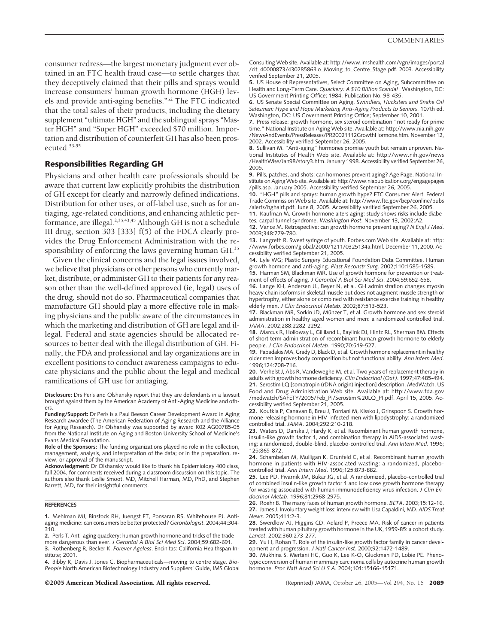consumer redress—the largest monetary judgment ever obtained in an FTC health fraud case—to settle charges that they deceptively claimed that their pills and sprays would increase consumers' human growth hormone (HGH) levels and provide anti-aging benefits."52 The FTC indicated that the total sales of their products, including the dietary supplement "ultimate HGH" and the sublingual sprays "Master HGH" and "Super HGH" exceeded \$70 million. Importation and distribution of counterfeit GH has also been prosecuted.53-55

## **Responsibilities Regarding GH**

Physicians and other health care professionals should be aware that current law explicitly prohibits the distribution of GH except for clearly and narrowly defined indications. Distribution for other uses, or off-label use, such as for antiaging, age-related conditions, and enhancing athletic performance, are illegal.<sup>2,35,43,45</sup> Although GH is not a schedule III drug, section 303 [333] f(5) of the FDCA clearly provides the Drug Enforcement Administration with the responsibility of enforcing the laws governing human GH.<sup>35</sup>

Given the clinical concerns and the legal issues involved, we believe that physicians or other persons who currently market, distribute, or administer GH to their patients for any reason other than the well-defined approved (ie, legal) uses of the drug, should not do so. Pharmaceutical companies that manufacture GH should play a more effective role in making physicians and the public aware of the circumstances in which the marketing and distribution of GH are legal and illegal. Federal and state agencies should be allocated resources to better deal with the illegal distribution of GH. Finally, the FDA and professional and lay organizations are in excellent positions to conduct awareness campaigns to educate physicians and the public about the legal and medical ramifications of GH use for antiaging.

**Disclosure:** Drs Perls and Olshansky report that they are defendants in a lawsuit brought against them by the American Academy of Anti-Aging Medicine and others.

**Funding/Support:** Dr Perls is a Paul Beeson Career Development Award in Aging Research awardee (The American Federation of Aging Research and the Alliance for Aging Research). Dr Olshansky was supported by award K02 AG00785-05 from the National Institute on Aging and Boston University School of Medicine's Evans Medical Foundation.

**Role of the Sponsors:** The funding organizations played no role in the collection, management, analysis, and interpretation of the data; or in the preparation, review, or approval of the manuscript.

**Acknowledgment:** Dr Olshansky would like to thank his Epidemiology 400 class, fall 2004, for comments received during a classroom discussion on this topic. The authors also thank Leslie Smoot, MD, Mitchell Harman, MD, PhD, and Stephen Barrett, MD, for their insightful comments.

#### **REFERENCES**

**1.** Mehlman MJ, Binstock RH, Juengst ET, Ponsaran RS, Whitehouse PJ. Antiaging medicine: can consumers be better protected? *Gerontologist*. 2004;44:304- 310.

**2.** Perls T. Anti-aging quackery: human growth hormone and tricks of the trade more dangerous than ever. *J Gerontol A Biol Sci Med Sci*. 2004;59:682-691. **3.** Rothenberg R, Becker K. *Forever Ageless*. Encinitas: California Healthspan Institute; 2001.

**4.** Bibby K, Davis J, Jones C. Biopharmaceuticals—moving to centre stage. *Bio-People* North American Biotechnology Industry and Suppliers' Guide, IMS Global

Consulting Web site. Available at: http://www.imshealth.com/vgn/images/portal /cit\_40000873/43028586Bio\_Moving\_to\_Centre\_Stage.pdf. 2003. Accessibility verified September 21, 2005.

**5.** US House of Representatives, Select Committee on Aging, Subcommittee on Health and Long-Term Care. *Quackery: A \$10 Billion Scandal* . Washington, DC: US Government Printing Office; 1984. Publication No. 98-435.

**6.** US Senate Special Committee on Aging. *Swindlers, Hucksters and Snake Oil Salesman: Hype and Hope Marketing Anti-Aging Products to Seniors*. 107th ed. Washington, DC: US Government Printing Office; September 10, 2001.

**7.** Press release: growth hormone, sex steroid combination "not ready for prime time." National Institute on Aging Web site. Available at: http://www.nia.nih.gov /NewsAndEvents/PressReleases/PR20021112GrowthHormone.htm. November 12, 2002. Accessibility verified September 26, 2005.

**8.** Sullivan M. "Anti-aging" hormones promise youth but remain unproven. National Institutes of Health Web site. Available at: http://www.nih.gov/news /HealthWise/Jan98/story3.htm. January 1998. Accessibility verified September 26, 2005.

**9.** Pills, patches, and shots: can hormones prevent aging? Age Page. National Institute on Aging Web site. Available at: http://www.niapublications.org/engagepages /pills.asp. January 2005. Accessibility verified September 26, 2005.

**10.** "HGH" pills and sprays: human growth hype? FTC Consumer Alert. Federal Trade Commission Web site. Available at: http://www.ftc.gov/bcp/conline/pubs /alerts/hghalrt.pdf. June 8, 2005. Accessibility verified September 26, 2005.

**11.** Kaufman M. Growth hormone alters aging: study shows risks include diabetes, carpal tunnel syndrome. *Washington Post*. November 13, 2002:A2.

**12.** Vance M. Retrospective: can growth hormone prevent aging? *N Engl J Med*. 2003;348:779-780.

**13.** Langreth R. Sweet syringe of youth. Forbes.com Web site. Available at: http: //www.forbes.com/global/2000/1211/0325134a.html. December 11, 2000. Accessibility verified September 21, 2005.

**14.** Lyle WG; Plastic Surgery Educational Foundation Data Committee. Human growth hormone and anti-aging. *Plast Reconstr Surg*. 2002;110:1585-1589.

**15.** Harman SM, Blackman MR. Use of growth hormone for prevention or treatment of effects of aging. *J Gerontol A Biol Sci Med Sci*. 2004;59:652-658.

**16.** Lange KH, Andersen JL, Beyer N, et al. GH administration changes myosin heavy chain isoforms in skeletal muscle but does not augment muscle strength or hypertrophy, either alone or combined with resistance exercise training in healthy elderly men. *J Clin Endocrinol Metab*. 2002;87:513-523.

**17.** Blackman MR, Sorkin JD, Münzer T, et al. Growth hormone and sex steroid administration in healthy aged women and men: a randomized controlled trial. *JAMA*. 2002;288:2282-2292.

**18.** Marcus R, Holloway L, Gilliland L, Baylink DJ, Hintz RL, Sherman BM. Effects of short term administration of recombinant human growth hormone to elderly people. *J Clin Endocrinol Metab*. 1990;70:519-527.

**19.** Papadakis MA, Grady D, Black D, et al. Growth hormone replacement in healthy older men improves body composition but not functional ability. *Ann Intern Med*. 1996;124:708-716.

**20.** Verhelst J, Abs R, Vandeweghe M, et al. Two years of replacement therapy in adults with growth hormone deficiency. *Clin Endocrinol (Oxf )*. 1997;47:485-494. **21.** Serostim LQ [somatropin (rDNA origin) injection] description. MedWatch. US

Food and Drug Administration Web site. Available at: http://www.fda.gov /medwatch/SAFETY/2005/Feb\_PI/Serostim%20LQ\_PI.pdf. April 15, 2005. Accessibility verified September 21, 2005.

**22.** Koutkia P, Canavan B, Breu J, Torriani M, Kissko J, Grinspoon S. Growth hormone-releasing hormone in HIV-infected men with lipodystrophy: a randomized controlled trial. *JAMA*. 2004;292:210-218.

**23.** Waters D, Danska J, Hardy K, et al. Recombinant human growth hormone, insulin-like growth factor 1, and combination therapy in AIDS-associated wasting: a randomized, double-blind, placebo-controlled trial. *Ann Intern Med*. 1996; 125:865-872.

**24.** Schambelan M, Mulligan K, Grunfeld C, et al. Recombinant human growth hormone in patients with HIV-associated wasting: a randomized, placebocontrolled trial. *Ann Intern Med*. 1996;125:873-882.

**25.** Lee PD, Pivarnik JM, Bukar JG, et al. A randomized, placebo-controlled trial of combined insulin-like growth factor 1 and low dose growth hormone therapy for wasting associated with human immunodeficiency virus infection. *J Clin Endocrinol Metab*. 1996;81:2968-2975.

**26.** Roehr B. The many faces of human growth hormone. *BETA*. 2003;15:12-16. **27.** James J. Involuntary weight loss: interview with Lisa Capaldini, MD. *AIDS Treat News*. 2005;411:2-3.

**28.** Swerdlow AJ, Higgins CD, Adlard P, Preece MA. Risk of cancer in patients treated with human pituitary growth hormone in the UK, 1959-85: a cohort study. *Lancet*. 2002;360:273-277.

**29.** Yu H, Rohan T. Role of the insulin-like growth factor family in cancer development and progression. *J Natl Cancer Inst*. 2000;92:1472-1489.

**30.** Mukhina S, Mertani HC, Guo K, Lee K-O, Gluckman PD, Lobie PE. Phenotypic conversion of human mammary carcinoma cells by autocrine human growth hormone. *Proc Natl Acad Sci U S A*. 2004;101:15166-15171.

©2005 American Medical Association. All rights reserved. (Reprinted) JAMA, October 26, 2005—Vol 294, No. 16 **2089**